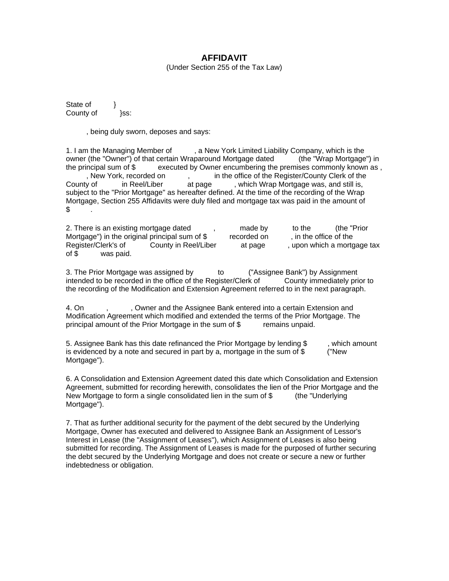## **AFFIDAVIT**

(Under Section 255 of the Tax Law)

State of  $\}$ County of **Branch }ss:** 

, being duly sworn, deposes and says:

1. I am the Managing Member of , a New York Limited Liability Company, which is the owner (the "Owner") of that certain Wraparound Mortgage dated (the "Wrap Mortgage") in the principal sum of \$ executed by Owner encumbering the premises commonly known as , , New York, recorded on , in the office of the Register/County Clerk of the County of in Reel/Liber at page , which Wrap Mortgage was, and still is, subject to the "Prior Mortgage" as hereafter defined. At the time of the recording of the Wrap Mortgage, Section 255 Affidavits were duly filed and mortgage tax was paid in the amount of  $$^{\circ}$ 

2. There is an existing mortgage dated , and all parace by to the  $\frac{m}{n}$  (the "Prior Mortgage") in the original principal sum of \$ recorded on , in the office of the Register/Clerk's of County in Reel/Liber at page , upon which a mortgage tax of \$ was paid.

3. The Prior Mortgage was assigned by to ("Assignee Bank") by Assignment intended to be recorded in the office of the Register/Clerk of County immediately prior to the recording of the Modification and Extension Agreement referred to in the next paragraph.

4. On , . . . . . Owner and the Assignee Bank entered into a certain Extension and Modification Agreement which modified and extended the terms of the Prior Mortgage. The principal amount of the Prior Mortgage in the sum of \$ remains unpaid.

5. Assignee Bank has this date refinanced the Prior Mortgage by lending \$, which amount is evidenced by a note and secured in part by a, mortgage in the sum of  $\$\,$  ("New Mortgage").

6. A Consolidation and Extension Agreement dated this date which Consolidation and Extension Agreement, submitted for recording herewith, consolidates the lien of the Prior Mortgage and the New Mortgage to form a single consolidated lien in the sum of \$ (the "Underlying Mortgage").

7. That as further additional security for the payment of the debt secured by the Underlying Mortgage, Owner has executed and delivered to Assignee Bank an Assignment of Lessor's Interest in Lease (the "Assignment of Leases"), which Assignment of Leases is also being submitted for recording. The Assignment of Leases is made for the purposed of further securing the debt secured by the Underlying Mortgage and does not create or secure a new or further indebtedness or obligation.